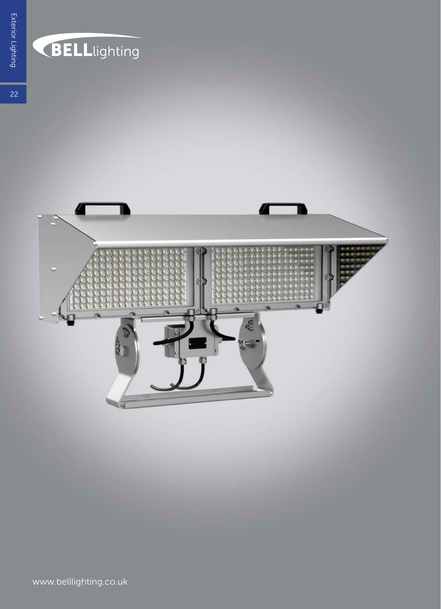

## BELLlighting

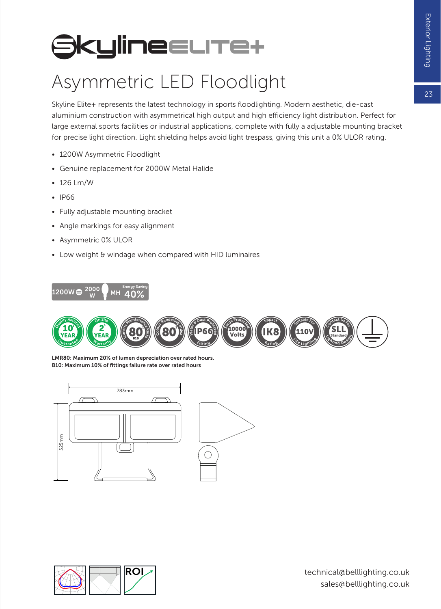$2<sub>z</sub>$ 

## **SkylineELITe+**

## Asymmetric LED Floodlight

Skyline Elite+ represents the latest technology in sports floodlighting. Modern aesthetic, die-cast aluminium construction with asymmetrical high output and high efficiency light distribution. Perfect for large external sports facilities or industrial applications, complete with fully a adjustable mounting bracket for precise light direction. Light shielding helps avoid light trespass, giving this unit a 0% ULOR rating.

- 1200W Asymmetric Floodlight
- Genuine replacement for 2000W Metal Halide
- 126 Lm/W
- IP66
- Fully adjustable mounting bracket
- Angle markings for easy alignment
- Asymmetric 0% ULOR
- Low weight & windage when compared with HID luminaires





LMR80: Maximum 20% of lumen depreciation over rated hours. B10: Maximum 10% of fittings failure rate over rated hours



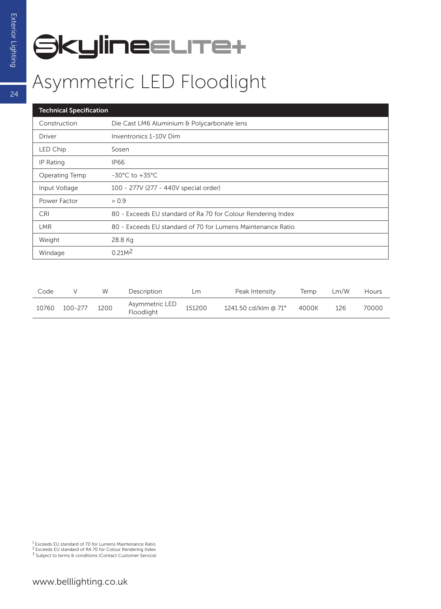## **SkylineELITe+**

| <b>Technical Specification</b> |                                                              |  |  |  |  |  |
|--------------------------------|--------------------------------------------------------------|--|--|--|--|--|
| Construction                   | Die Cast LM6 Aluminium & Polycarbonate lens                  |  |  |  |  |  |
| Driver                         | Inventronics 1-10V Dim                                       |  |  |  |  |  |
| <b>LED Chip</b>                | Sosen                                                        |  |  |  |  |  |
| IP Rating                      | IP66                                                         |  |  |  |  |  |
| Operating Temp                 | $-30^{\circ}$ C to $+35^{\circ}$ C                           |  |  |  |  |  |
| Input Voltage                  | 100 - 277V (277 - 440V special order)                        |  |  |  |  |  |
| Power Factor                   | > 0.9                                                        |  |  |  |  |  |
| <b>CRI</b>                     | 80 - Exceeds EU standard of Ra 70 for Colour Rendering Index |  |  |  |  |  |
| <b>LMR</b>                     | 80 - Exceeds EU standard of 70 for Lumens Maintenance Ratio  |  |  |  |  |  |
| Weight                         | 28.8 Kg                                                      |  |  |  |  |  |
| Windage                        | 0.21M <sup>2</sup>                                           |  |  |  |  |  |

| Code  |             | W    | Description                  | Lm     | Peak Intensity       | Temp  | Lm/W | <b>Hours</b> |
|-------|-------------|------|------------------------------|--------|----------------------|-------|------|--------------|
| 10760 | $100 - 277$ | 1200 | Asymmetric LED<br>Floodlight | 151200 | 1241.50 cd/klm @ 71° | 4000K | 126  | 70000        |

<sup>1</sup> Exceeds EU standard of 70 for Lumens Maintenance Ratio<br><sup>2</sup> Exceeds EU standard of RA 70 for Colour Rendering Index<br><sup>3</sup> Subject to terms & conditions (Contact Customer Service)

 $\overline{24}$